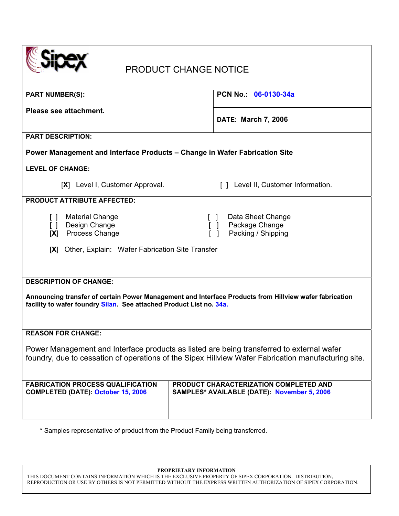| <b>PRODUCT CHANGE NOTICE</b>                                                                                                                                                                                   |                                                                                              |  |
|----------------------------------------------------------------------------------------------------------------------------------------------------------------------------------------------------------------|----------------------------------------------------------------------------------------------|--|
| <b>PART NUMBER(S):</b>                                                                                                                                                                                         | PCN No. 06-0130-34a                                                                          |  |
| Please see attachment.                                                                                                                                                                                         | <b>DATE: March 7, 2006</b>                                                                   |  |
| <b>PART DESCRIPTION:</b>                                                                                                                                                                                       |                                                                                              |  |
| Power Management and Interface Products - Change in Wafer Fabrication Site                                                                                                                                     |                                                                                              |  |
| <b>LEVEL OF CHANGE:</b>                                                                                                                                                                                        |                                                                                              |  |
| [X] Level I, Customer Approval.                                                                                                                                                                                | [] Level II, Customer Information.                                                           |  |
| <b>PRODUCT ATTRIBUTE AFFECTED:</b>                                                                                                                                                                             |                                                                                              |  |
| <b>Material Change</b><br>$\Box$<br>Design Change<br>$\Box$<br>Process Change<br>[X]                                                                                                                           | Data Sheet Change<br>Package Change<br>Packing / Shipping                                    |  |
| Other, Explain: Wafer Fabrication Site Transfer<br>[X]                                                                                                                                                         |                                                                                              |  |
| <b>DESCRIPTION OF CHANGE:</b><br>Announcing transfer of certain Power Management and Interface Products from Hillview wafer fabrication<br>facility to wafer foundry Silan. See attached Product List no. 34a. |                                                                                              |  |
| <b>REASON FOR CHANGE:</b>                                                                                                                                                                                      |                                                                                              |  |
| Power Management and Interface products as listed are being transferred to external wafer<br>foundry, due to cessation of operations of the Sipex Hillview Wafer Fabrication manufacturing site.               |                                                                                              |  |
| <b>FABRICATION PROCESS QUALIFICATION</b><br><b>COMPLETED (DATE): October 15, 2006</b>                                                                                                                          | PRODUCT CHARACTERIZATION COMPLETED AND<br><b>SAMPLES* AVAILABLE (DATE): November 5, 2006</b> |  |

\* Samples representative of product from the Product Family being transferred.

**PROPRIETARY INFORMATION** 

THIS DOCUMENT CONTAINS INFORMATION WHICH IS THE EXCLUSIVE PROPERTY OF SIPEX CORPORATION. DISTRIBUTION, REPRODUCTION OR USE BY OTHERS IS NOT PERMITTED WITHOUT THE EXPRESS WRITTEN AUTHORIZATION OF SIPEX CORPORATION.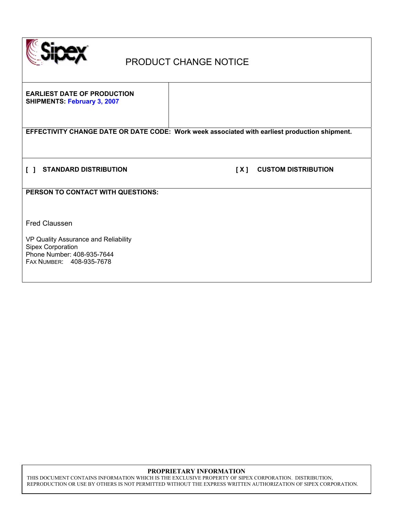

## PRODUCT CHANGE NOTICE

**EARLIEST DATE OF PRODUCTION SHIPMENTS: February 3, 2007** 

**EFFECTIVITY CHANGE DATE OR DATE CODE: Work week associated with earliest production shipment.** 

**[ ] STANDARD DISTRIBUTION [ X ] CUSTOM DISTRIBUTION** 

**PERSON TO CONTACT WITH QUESTIONS:** 

Fred Claussen

VP Quality Assurance and Reliability Sipex Corporation Phone Number: 408-935-7644 FAX NUMBER: 408-935-7678

### **PROPRIETARY INFORMATION**

THIS DOCUMENT CONTAINS INFORMATION WHICH IS THE EXCLUSIVE PROPERTY OF SIPEX CORPORATION. DISTRIBUTION, REPRODUCTION OR USE BY OTHERS IS NOT PERMITTED WITHOUT THE EXPRESS WRITTEN AUTHORIZATION OF SIPEX CORPORATION.